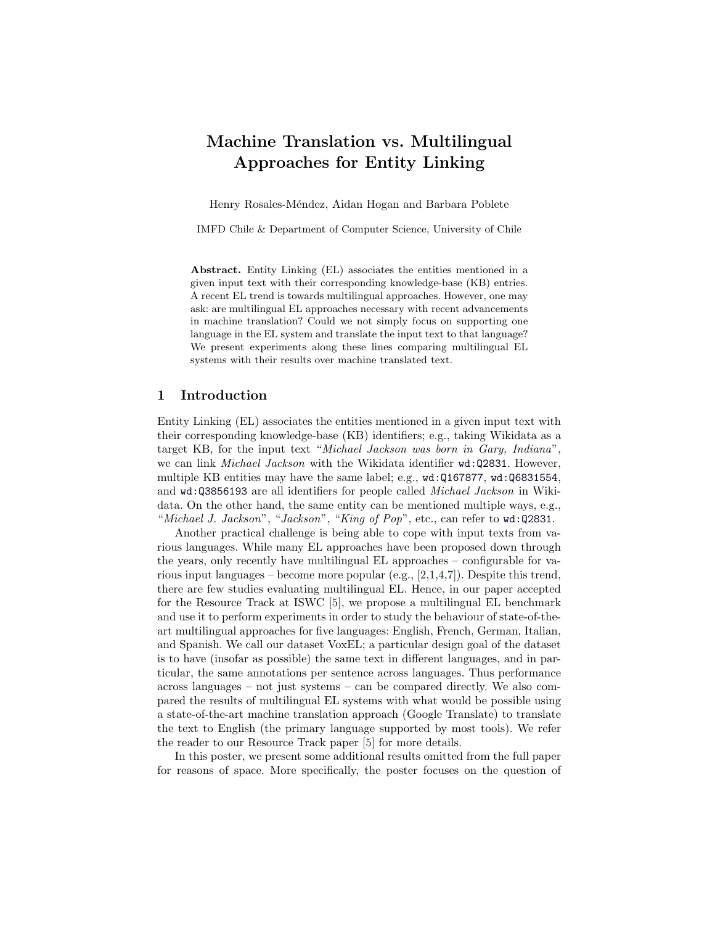# Machine Translation vs. Multilingual Approaches for Entity Linking

Henry Rosales-Méndez, Aidan Hogan and Barbara Poblete

IMFD Chile & Department of Computer Science, University of Chile

Abstract. Entity Linking (EL) associates the entities mentioned in a given input text with their corresponding knowledge-base (KB) entries. A recent EL trend is towards multilingual approaches. However, one may ask: are multilingual EL approaches necessary with recent advancements in machine translation? Could we not simply focus on supporting one language in the EL system and translate the input text to that language? We present experiments along these lines comparing multilingual EL systems with their results over machine translated text.

### 1 Introduction

Entity Linking (EL) associates the entities mentioned in a given input text with their corresponding knowledge-base (KB) identifiers; e.g., taking Wikidata as a target KB, for the input text "Michael Jackson was born in Gary, Indiana", we can link *Michael Jackson* with the Wikidata identifier  $wd:Q2831$ . However, multiple KB entities may have the same label; e.g., <wd:Q167877>, <wd:Q6831554>, and <wd:Q3856193> are all identifiers for people called Michael Jackson in Wikidata. On the other hand, the same entity can be mentioned multiple ways, e.g., "Michael J. Jackson", "Jackson", "King of Pop", etc., can refer to <wd:Q2831>.

Another practical challenge is being able to cope with input texts from various languages. While many EL approaches have been proposed down through the years, only recently have multilingual EL approaches – configurable for various input languages – become more popular (e.g., [\[2,](#page-3-0)[1,](#page-3-1)[4](#page-3-2)[,7\]](#page-3-3)). Despite this trend, there are few studies evaluating multilingual EL. Hence, in our paper accepted for the Resource Track at ISWC [\[5\]](#page-3-4), we propose a multilingual EL benchmark and use it to perform experiments in order to study the behaviour of state-of-theart multilingual approaches for five languages: English, French, German, Italian, and Spanish. We call our dataset VoxEL; a particular design goal of the dataset is to have (insofar as possible) the same text in different languages, and in particular, the same annotations per sentence across languages. Thus performance across languages – not just systems – can be compared directly. We also compared the results of multilingual EL systems with what would be possible using a state-of-the-art machine translation approach (Google Translate) to translate the text to English (the primary language supported by most tools). We refer the reader to our Resource Track paper [\[5\]](#page-3-4) for more details.

In this poster, we present some additional results omitted from the full paper for reasons of space. More specifically, the poster focuses on the question of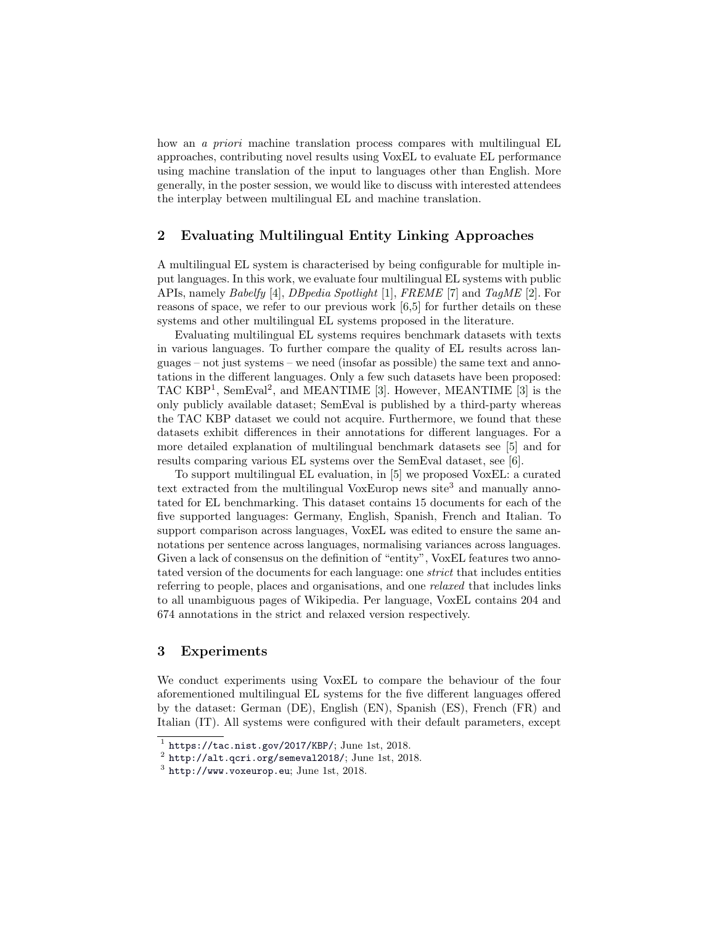how an *a priori* machine translation process compares with multilingual EL approaches, contributing novel results using VoxEL to evaluate EL performance using machine translation of the input to languages other than English. More generally, in the poster session, we would like to discuss with interested attendees the interplay between multilingual EL and machine translation.

## 2 Evaluating Multilingual Entity Linking Approaches

A multilingual EL system is characterised by being configurable for multiple input languages. In this work, we evaluate four multilingual EL systems with public APIs, namely Babelfy [\[4\]](#page-3-2), DBpedia Spotlight [\[1\]](#page-3-1), FREME [\[7\]](#page-3-3) and TagME [\[2\]](#page-3-0). For reasons of space, we refer to our previous work [\[6,](#page-3-5)[5\]](#page-3-4) for further details on these systems and other multilingual EL systems proposed in the literature.

Evaluating multilingual EL systems requires benchmark datasets with texts in various languages. To further compare the quality of EL results across languages – not just systems – we need (insofar as possible) the same text and annotations in the different languages. Only a few such datasets have been proposed: TAC KBP<sup>[1](#page-1-0)</sup>, SemEval<sup>[2](#page-1-1)</sup>, and MEANTIME [\[3\]](#page-3-6). However, MEANTIME [3] is the only publicly available dataset; SemEval is published by a third-party whereas the TAC KBP dataset we could not acquire. Furthermore, we found that these datasets exhibit differences in their annotations for different languages. For a more detailed explanation of multilingual benchmark datasets see [\[5\]](#page-3-4) and for results comparing various EL systems over the SemEval dataset, see [\[6\]](#page-3-5).

To support multilingual EL evaluation, in [\[5\]](#page-3-4) we proposed VoxEL: a curated text extracted from the multilingual VoxEurop news site<sup>[3](#page-1-2)</sup> and manually annotated for EL benchmarking. This dataset contains 15 documents for each of the five supported languages: Germany, English, Spanish, French and Italian. To support comparison across languages, VoxEL was edited to ensure the same annotations per sentence across languages, normalising variances across languages. Given a lack of consensus on the definition of "entity", VoxEL features two annotated version of the documents for each language: one strict that includes entities referring to people, places and organisations, and one relaxed that includes links to all unambiguous pages of Wikipedia. Per language, VoxEL contains 204 and 674 annotations in the strict and relaxed version respectively.

### 3 Experiments

We conduct experiments using VoxEL to compare the behaviour of the four aforementioned multilingual EL systems for the five different languages offered by the dataset: German (DE), English (EN), Spanish (ES), French (FR) and Italian (IT). All systems were configured with their default parameters, except

<span id="page-1-0"></span> $1$  <https://tac.nist.gov/2017/KBP/>; June 1st, 2018.

<span id="page-1-1"></span> $^{2}$  <http://alt.qcri.org/semeval2018/>; June 1st, 2018.

<span id="page-1-2"></span> $3$  <http://www.voxeurop.eu>; June 1st, 2018.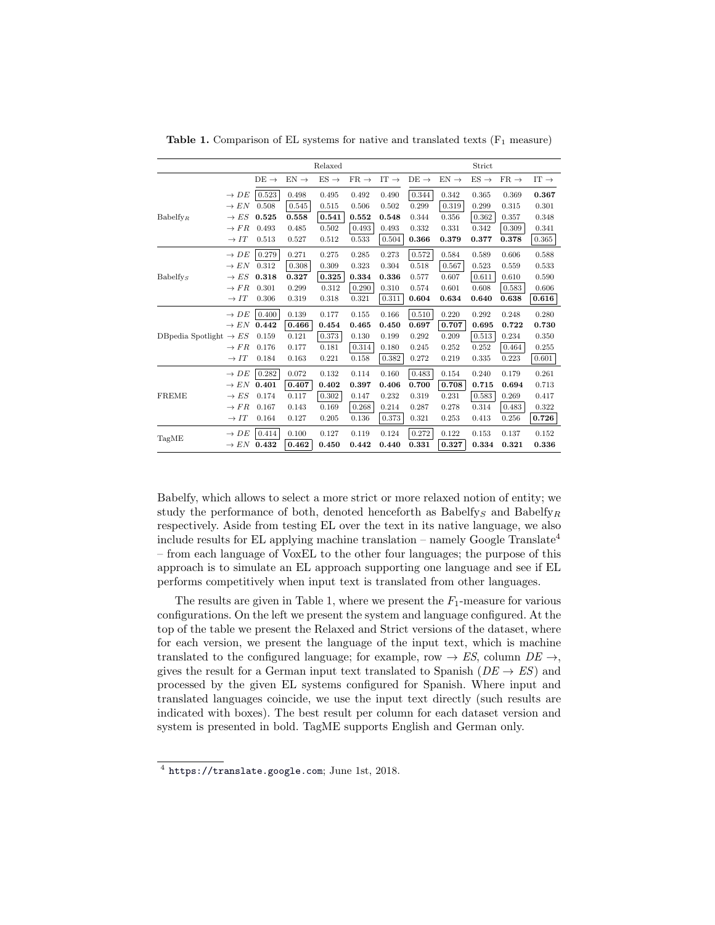|                                     |                        |                  |                  | Relaxed          |                  |                  |                  |                  | Strict           |                  |                  |
|-------------------------------------|------------------------|------------------|------------------|------------------|------------------|------------------|------------------|------------------|------------------|------------------|------------------|
|                                     |                        | $DE \rightarrow$ | $EN \rightarrow$ | $ES \rightarrow$ | $FR \rightarrow$ | IT $\rightarrow$ | $DE \rightarrow$ | $EN \rightarrow$ | $ES \rightarrow$ | $FR \rightarrow$ | $IT \rightarrow$ |
| $Babelfy_R$                         | $\rightarrow DE$       | 0.523            | 0.498            | 0.495            | 0.492            | 0.490            | 0.344            | 0.342            | 0.365            | 0.369            | 0.367            |
|                                     | $\rightarrow EN$       | 0.508            | 0.545            | 0.515            | 0.506            | 0.502            | 0.299            | 0.319            | 0.299            | 0.315            | 0.301            |
|                                     | $\rightarrow ES$       | 0.525            | 0.558            | 0.541            | 0.552            | 0.548            | 0.344            | 0.356            | 0.362            | 0.357            | 0.348            |
|                                     | $\rightarrow FR$       | 0.493            | 0.485            | 0.502            | 0.493            | 0.493            | 0.332            | 0.331            | 0.342            | 0.309            | 0.341            |
|                                     | $\rightarrow IT$       | 0.513            | 0.527            | 0.512            | 0.533            | 0.504            | 0.366            | 0.379            | 0.377            | 0.378            | 0.365            |
| $Babelfy_s$                         | $\rightarrow$ DE       | 0.279            | 0.271            | 0.275            | 0.285            | 0.273            | 0.572            | 0.584            | 0.589            | 0.606            | 0.588            |
|                                     | $\rightarrow EN$       | 0.312            | 0.308            | 0.309            | 0.323            | 0.304            | 0.518            | 0.567            | 0.523            | 0.559            | 0.533            |
|                                     | $\rightarrow ES$       | 0.318            | 0.327            | 0.325            | 0.334            | 0.336            | 0.577            | 0.607            | 0.611            | 0.610            | 0.590            |
|                                     | $\rightarrow FR$       | 0.301            | 0.299            | 0.312            | 0.290            | 0.310            | 0.574            | 0.601            | 0.608            | 0.583            | 0.606            |
|                                     | $\rightarrow IT$       | 0.306            | 0.319            | 0.318            | 0.321            | 0.311            | 0.604            | 0.634            | 0.640            | 0.638            | 0.616            |
| DB pedia Spotlight $\rightarrow ES$ | $\rightarrow$ DE       | 0.400            | 0.139            | 0.177            | 0.155            | 0.166            | 0.510            | 0.220            | 0.292            | 0.248            | 0.280            |
|                                     | $\rightarrow EN$       | 0.442            | 0.466            | 0.454            | 0.465            | 0.450            | 0.697            | 0.707            | 0.695            | 0.722            | 0.730            |
|                                     |                        | 0.159            | 0.121            | 0.373            | 0.130            | 0.199            | 0.292            | 0.209            | 0.513            | 0.234            | 0.350            |
|                                     | $\rightarrow FR$       | 0.176            | 0.177            | 0.181            | 0.314            | 0.180            | 0.245            | 0.252            | 0.252            | 0.464            | 0.255            |
|                                     | $\rightarrow IT$       | 0.184            | 0.163            | 0.221            | 0.158            | 0.382            | 0.272            | 0.219            | 0.335            | 0.223            | 0.601            |
| <b>FREME</b>                        | $\rightarrow$ DE       | 0.282            | 0.072            | 0.132            | 0.114            | 0.160            | 0.483            | 0.154            | 0.240            | 0.179            | 0.261            |
|                                     | $\rightarrow EN$       | 0.401            | 0.407            | 0.402            | 0.397            | 0.406            | 0.700            | 0.708            | 0.715            | 0.694            | 0.713            |
|                                     | $\rightarrow ES$       | 0.174            | 0.117            | 0.302            | 0.147            | 0.232            | 0.319            | 0.231            | 0.583            | 0.269            | 0.417            |
|                                     | $\rightarrow FR$       | 0.167            | 0.143            | 0.169            | 0.268            | 0.214            | 0.287            | 0.278            | 0.314            | 0.483            | 0.322            |
|                                     | $\rightarrow$ $IT$     | 0.164            | 0.127            | 0.205            | 0.136            | 0.373            | 0.321            | 0.253            | 0.413            | 0.256            | 0.726            |
| TagME                               | $\rightarrow DE$       | 0.414            | 0.100            | 0.127            | 0.119            | 0.124            | 0.272            | 0.122            | 0.153            | 0.137            | 0.152            |
|                                     | $\rightarrow EN$ 0.432 |                  | 0.462            | 0.450            | 0.442            | 0.440            | 0.331            | 0.327            | 0.334            | 0.321            | 0.336            |

<span id="page-2-1"></span>Table 1. Comparison of EL systems for native and translated texts  $(F_1 \text{ measure})$ 

Babelfy, which allows to select a more strict or more relaxed notion of entity; we study the performance of both, denoted henceforth as Babelfy<sub>S</sub> and Babelfy<sub>R</sub> respectively. Aside from testing EL over the text in its native language, we also include results for EL applying machine translation – namely Google Translate<sup>[4](#page-2-0)</sup> – from each language of VoxEL to the other four languages; the purpose of this approach is to simulate an EL approach supporting one language and see if EL performs competitively when input text is translated from other languages.

The results are given in Table [1,](#page-2-1) where we present the  $F_1$ -measure for various configurations. On the left we present the system and language configured. At the top of the table we present the Relaxed and Strict versions of the dataset, where for each version, we present the language of the input text, which is machine translated to the configured language; for example, row  $\rightarrow ES$ , column  $DE \rightarrow$ . gives the result for a German input text translated to Spanish ( $DE \rightarrow ES$ ) and processed by the given EL systems configured for Spanish. Where input and translated languages coincide, we use the input text directly (such results are indicated with boxes). The best result per column for each dataset version and system is presented in bold. TagME supports English and German only.

<span id="page-2-0"></span><sup>4</sup> <https://translate.google.com>; June 1st, 2018.